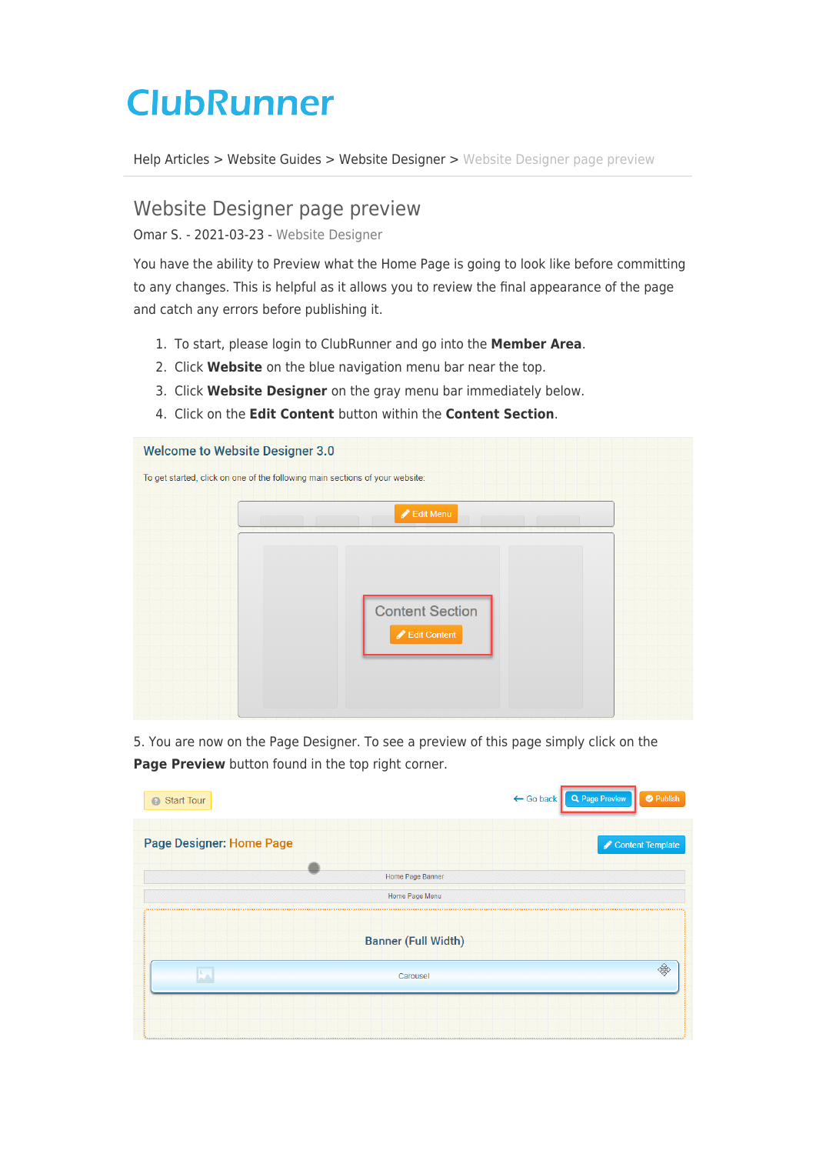## **ClubRunner**

[Help Articles](https://www.clubrunnersupport.com/kb) > [Website Guides](https://www.clubrunnersupport.com/kb/website-guides) > [Website Designer](https://www.clubrunnersupport.com/kb/website-designer) > [Website Designer page preview](https://www.clubrunnersupport.com/kb/articles/website-designer-page-preview)

## Website Designer page preview

Omar S. - 2021-03-23 - [Website Designer](https://www.clubrunnersupport.com/kb/website-designer)

You have the ability to Preview what the Home Page is going to look like before committing to any changes. This is helpful as it allows you to review the final appearance of the page and catch any errors before publishing it.

- 1. To start, please login to ClubRunner and go into the **Member Area**.
- 2. Click **Website** on the blue navigation menu bar near the top.
- 3. Click **Website Designer** on the gray menu bar immediately below.
- 4. Click on the **Edit Content** button within the **Content Section**.



5. You are now on the Page Designer. To see a preview of this page simply click on the **Page Preview** button found in the top right corner.

| Start Tour                      | ← Go back Q Page Preview<br><b>O</b> Publish |
|---------------------------------|----------------------------------------------|
| <b>Page Designer: Home Page</b> | Content Template                             |
| Home Page Banner                |                                              |
| Home Page Menu                  |                                              |
| <b>Banner (Full Width)</b>      |                                              |
| Carousel                        |                                              |
|                                 |                                              |
|                                 |                                              |